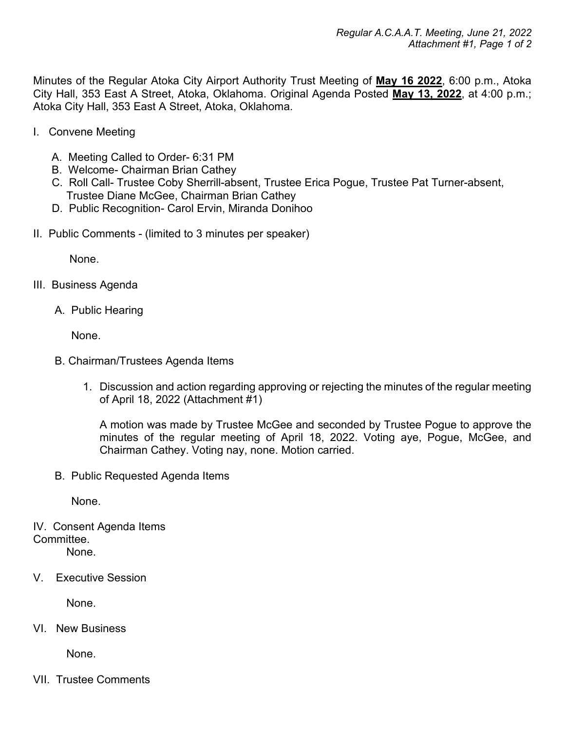Minutes of the Regular Atoka City Airport Authority Trust Meeting of **May 16 2022**, 6:00 p.m., Atoka City Hall, 353 East A Street, Atoka, Oklahoma. Original Agenda Posted **May 13, 2022**, at 4:00 p.m.; Atoka City Hall, 353 East A Street, Atoka, Oklahoma.

- I. Convene Meeting
	- A. Meeting Called to Order- 6:31 PM
	- B. Welcome- Chairman Brian Cathey
	- C. Roll Call- Trustee Coby Sherrill-absent, Trustee Erica Pogue, Trustee Pat Turner-absent, Trustee Diane McGee, Chairman Brian Cathey
	- D. Public Recognition- Carol Ervin, Miranda Donihoo
- II. Public Comments (limited to 3 minutes per speaker)

None.

- III. Business Agenda
	- A. Public Hearing

None.

- B. Chairman/Trustees Agenda Items
	- 1. Discussion and action regarding approving or rejecting the minutes of the regular meeting of April 18, 2022 (Attachment #1)

A motion was made by Trustee McGee and seconded by Trustee Pogue to approve the minutes of the regular meeting of April 18, 2022. Voting aye, Pogue, McGee, and Chairman Cathey. Voting nay, none. Motion carried.

B. Public Requested Agenda Items

None.

- IV. Consent Agenda Items Committee. None.
- V. Executive Session

None.

VI. New Business

None.

VII. Trustee Comments